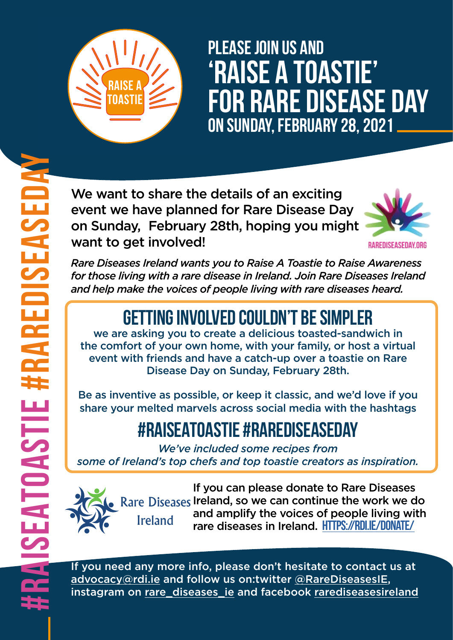*Rare Diseases Ireland wants you to Raise A Toastie to Raise Awareness for those living with a rare disease in Ireland. Join Rare Diseases Ireland and help make the voices of people living with rare diseases heard.*

## **Getting involved couldn't be simpler**

we are asking you to create a delicious toasted-sandwich in the comfort of your own home, with your family, or host a virtual event with friends and have a catch-up over a toastie on Rare Disease Day on Sunday, February 28th.

If you can please donate to Rare Diseases Rare Diseases Ireland, so we can continue the work we do and amplify the voices of people living with rare diseases in Ireland. **HTTPS://RDI.IE/DONATE/ Ireland** 

**ISEA** 

If you need any more info, please don't hesitate to contact us at [advocacy@rdi.ie](mailto:advocacy@rdi.ie) and follow us on:twitter [@RareDiseasesIE,](https://twitter.com/RareDiseasesIE?ref_src=twsrc%5Egoogle%7Ctwcamp%5Eserp%7Ctwgr%5Eauthor) instagram on [rare\\_diseases\\_ie](https://www.instagram.com/rare_diseases_ie/) and facebook [rarediseasesireland](https://www.facebook.com/rarediseasesireland)

Be as inventive as possible, or keep it classic, and we'd love if you share your melted marvels across social media with the hashtags

## **#RaiseAToastie #RareDiseaseDay**

*We've included some recipes from some of Ireland's top chefs and top toastie creators as inspiration.*

We want to share the details of an exciting event we have planned for Rare Disease Day on Sunday, February 28th, hoping you might want to get involved!





# **Please join us and 'Raise A Toastie' for Rare Disease Day on Sunday, February 28, 2021**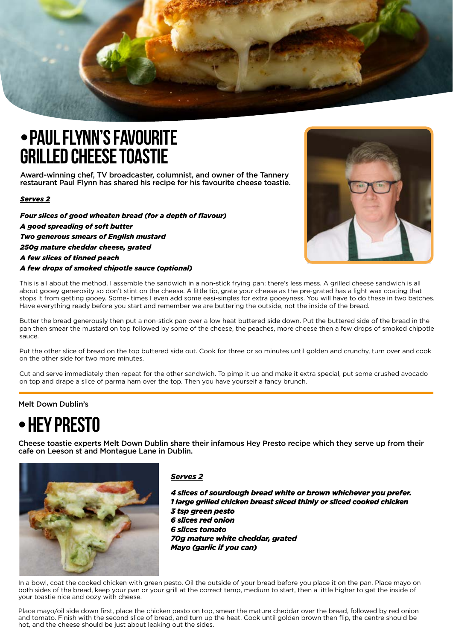

### **•Paul Flynn's favourite grilled cheese toastie**

Award-winning chef, TV broadcaster, columnist, and owner of the Tannery restaurant Paul Flynn has shared his recipe for his favourite cheese toastie.

#### *Serves 2*

*Four slices of good wheaten bread (for a depth of flavour) A good spreading of soft butter Two generous smears of English mustard 250g mature cheddar cheese, grated A few slices of tinned peach A few drops of smoked chipotle sauce (optional)* 



#### Melt Down Dublin's

### **•HEY PRESTO**

Cheese toastie experts Melt Down Dublin share their infamous Hey Presto recipe which they serve up from their cafe on Leeson st and Montague Lane in Dublin.



*Serves 2*

*4 slices of sourdough bread white or brown whichever you prefer. 1 large grilled chicken breast sliced thinly or sliced cooked chicken 3 tsp green pesto 6 slices red onion 6 slices tomato 70g mature white cheddar, grated Mayo (garlic if you can)*

In a bowl, coat the cooked chicken with green pesto. Oil the outside of your bread before you place it on the pan. Place mayo on both sides of the bread, keep your pan or your grill at the correct temp, medium to start, then a little higher to get the inside of your toastie nice and oozy with cheese.

Place mayo/oil side down first, place the chicken pesto on top, smear the mature cheddar over the bread, followed by red onion and tomato. Finish with the second slice of bread, and turn up the heat. Cook until golden brown then flip, the centre should be hot, and the cheese should be just about leaking out the sides.

This is all about the method. I assemble the sandwich in a non-stick frying pan; there's less mess. A grilled cheese sandwich is all about gooey generosity so don't stint on the cheese. A little tip, grate your cheese as the pre-grated has a light wax coating that stops it from getting gooey. Some- times I even add some easi-singles for extra gooeyness. You will have to do these in two batches. Have everything ready before you start and remember we are buttering the outside, not the inside of the bread.

Butter the bread generously then put a non-stick pan over a low heat buttered side down. Put the buttered side of the bread in the pan then smear the mustard on top followed by some of the cheese, the peaches, more cheese then a few drops of smoked chipotle sauce.

Put the other slice of bread on the top buttered side out. Cook for three or so minutes until golden and crunchy, turn over and cook on the other side for two more minutes.

Cut and serve immediately then repeat for the other sandwich. To pimp it up and make it extra special, put some crushed avocado on top and drape a slice of parma ham over the top. Then you have yourself a fancy brunch.